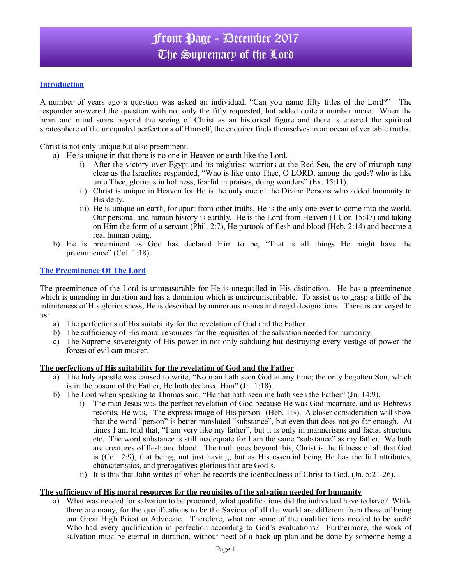# Front Page - December 2017 The Supremacy of the Lord

### **Introduction**

A number of years ago a question was asked an individual, "Can you name fifty titles of the Lord?" The responder answered the question with not only the fifty requested, but added quite a number more. When the heart and mind soars beyond the seeing of Christ as an historical figure and there is entered the spiritual stratosphere of the unequaled perfections of Himself, the enquirer finds themselves in an ocean of veritable truths.

Christ is not only unique but also preeminent.

a) He is unique in that there is no one in Heaven or earth like the Lord.

- i) After the victory over Egypt and its mightiest warriors at the Red Sea, the cry of triumph rang clear as the Israelites responded, "Who is like unto Thee, O LORD, among the gods? who is like unto Thee, glorious in holiness, fearful in praises, doing wonders" (Ex. 15:11).
- ii) Christ is unique in Heaven for He is the only one of the Divine Persons who added humanity to His deity.
- iii) He is unique on earth, for apart from other truths, He is the only one ever to come into the world. Our personal and human history is earthly. He is the Lord from Heaven (1 Cor. 15:47) and taking on Him the form of a servant (Phil. 2:7), He partook of flesh and blood (Heb. 2:14) and became a real human being.
- b) He is preeminent as God has declared Him to be, "That is all things He might have the preeminence" (Col. 1:18).

#### **The Preeminence Of The Lord**

The preeminence of the Lord is unmeasurable for He is unequalled in His distinction. He has a preeminence which is unending in duration and has a dominion which is uncircumscribable. To assist us to grasp a little of the infiniteness of His gloriousness, He is described by numerous names and regal designations. There is conveyed to us:

- a) The perfections of His suitability for the revelation of God and the Father.
- b) The sufficiency of His moral resources for the requisites of the salvation needed for humanity.
- c) The Supreme sovereignty of His power in not only subduing but destroying every vestige of power the forces of evil can muster.

#### **The perfections of His suitability for the revelation of God and the Father**

- a) The holy apostle was caused to write, "No man hath seen God at any time; the only begotten Son, which is in the bosom of the Father, He hath declared Him" (Jn. 1:18).
- b) The Lord when speaking to Thomas said, "He that hath seen me hath seen the Father" (Jn. 14:9).
	- i) The man Jesus was the perfect revelation of God because He was God incarnate, and as Hebrews records, He was, "The express image of His person" (Heb. 1:3). A closer consideration will show that the word "person" is better translated "substance", but even that does not go far enough. At times I am told that, "I am very like my father", but it is only in mannerisms and facial structure etc. The word substance is still inadequate for I am the same "substance" as my father. We both are creatures of flesh and blood. The truth goes beyond this, Christ is the fulness of all that God is (Col. 2:9), that being, not just having, but as His essential being He has the full attributes, characteristics, and prerogatives glorious that are God's.
	- ii) It is this that John writes of when he records the identicalness of Christ to God. (Jn. 5:21-26).

#### **The sufficiency of His moral resources for the requisites of the salvation needed for humanity**

a) What was needed for salvation to be procured, what qualifications did the individual have to have? While there are many, for the qualifications to be the Saviour of all the world are different from those of being our Great High Priest or Advocate. Therefore, what are some of the qualifications needed to be such? Who had every qualification in perfection according to God's evaluations? Furthermore, the work of salvation must be eternal in duration, without need of a back-up plan and be done by someone being a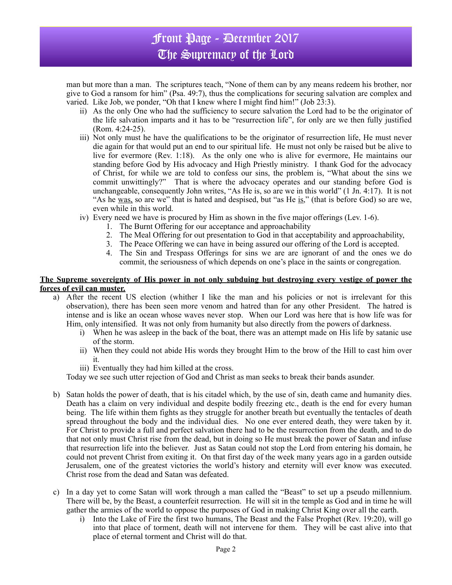## Front Page - December 2017 The Supremacy of the Lord

man but more than a man. The scriptures teach, "None of them can by any means redeem his brother, nor give to God a ransom for him" (Psa. 49:7), thus the complications for securing salvation are complex and varied. Like Job, we ponder, "Oh that I knew where I might find him!" (Job 23:3).

- ii) As the only One who had the sufficiency to secure salvation the Lord had to be the originator of the life salvation imparts and it has to be "resurrection life", for only are we then fully justified (Rom. 4:24-25).
- iii) Not only must he have the qualifications to be the originator of resurrection life, He must never die again for that would put an end to our spiritual life. He must not only be raised but be alive to live for evermore (Rev. 1:18). As the only one who is alive for evermore, He maintains our standing before God by His advocacy and High Priestly ministry. I thank God for the advocacy of Christ, for while we are told to confess our sins, the problem is, "What about the sins we commit unwittingly?" That is where the advocacy operates and our standing before God is unchangeable, consequently John writes, "As He is, so are we in this world" (1 Jn. 4:17). It is not "As he was, so are we" that is hated and despised, but "as He is," (that is before God) so are we, even while in this world.
- iv) Every need we have is procured by Him as shown in the five major offerings (Lev. 1-6).
	- 1. The Burnt Offering for our acceptance and approachability
	- 2. The Meal Offering for out presentation to God in that acceptability and approachability,
	- 3. The Peace Offering we can have in being assured our offering of the Lord is accepted.
	- 4. The Sin and Trespass Offerings for sins we are are ignorant of and the ones we do commit, the seriousness of which depends on one's place in the saints or congregation.

#### **The Supreme sovereignty of His power in not only subduing but destroying every vestige of power the forces of evil can muster.**

- a) After the recent US election (whither I like the man and his policies or not is irrelevant for this observation), there has been seen more venom and hatred than for any other President. The hatred is intense and is like an ocean whose waves never stop. When our Lord was here that is how life was for Him, only intensified. It was not only from humanity but also directly from the powers of darkness.
	- i) When he was asleep in the back of the boat, there was an attempt made on His life by satanic use of the storm.
	- ii) When they could not abide His words they brought Him to the brow of the Hill to cast him over it.
	- iii) Eventually they had him killed at the cross.

Today we see such utter rejection of God and Christ as man seeks to break their bands asunder.

- b) Satan holds the power of death, that is his citadel which, by the use of sin, death came and humanity dies. Death has a claim on very individual and despite bodily freezing etc., death is the end for every human being. The life within them fights as they struggle for another breath but eventually the tentacles of death spread throughout the body and the individual dies. No one ever entered death, they were taken by it. For Christ to provide a full and perfect salvation there had to be the resurrection from the death, and to do that not only must Christ rise from the dead, but in doing so He must break the power of Satan and infuse that resurrection life into the believer. Just as Satan could not stop the Lord from entering his domain, he could not prevent Christ from exiting it. On that first day of the week many years ago in a garden outside Jerusalem, one of the greatest victories the world's history and eternity will ever know was executed. Christ rose from the dead and Satan was defeated.
- c) In a day yet to come Satan will work through a man called the "Beast" to set up a pseudo millennium. There will be, by the Beast, a counterfeit resurrection. He will sit in the temple as God and in time he will gather the armies of the world to oppose the purposes of God in making Christ King over all the earth.
	- i) Into the Lake of Fire the first two humans, The Beast and the False Prophet (Rev. 19:20), will go into that place of torment, death will not intervene for them. They will be cast alive into that place of eternal torment and Christ will do that.